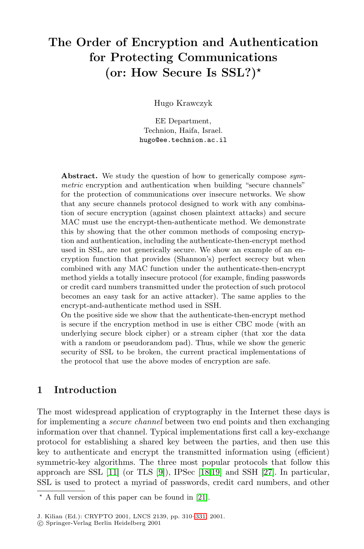# **The Order of Encryption and Authentication for Protecting Communications (or: How Secure Is SSL?)***?*

Hugo Krawczyk

EE Department, Technion, Haifa, Israel. hugo@ee.technion.ac.il

**Abstract.** We study the question of how to generically compose symmetric encryption and authentication when building "secure channels" for the protection of communications over insecure networks. We show that any secure channels protocol designed to work with any combination of secure encryption (against chosen plaintext attacks) and secure MAC must use the encrypt-then-authenticate method. We demonstrate this by showing that the other common methods of composing encryption a[nd](#page-20-0) authentic[ation,](#page-20-0) including th[e](#page-21-0) [au](#page-21-0)thenticate-then-encrypt method used in SSL, are not generically secure. We show an example of an encryption functio[n th](#page-20-0)at provides (Shannon's) perfect secrecy but when combined with any MAC function under the authenticate-then-encrypt method yields a [tota](#page-21-0)lly insecure protocol (for example, finding passwords or credit card numbers transmitted under the protection of such protocol becomes an easy task for an active attacker). The same applies to the encrypt-and-authenticate method used in SSH.

On the positive side we show that the authenticate-then-encrypt method is secure if the encryption method in use is either CBC mode (with an underlying secure block cipher) or a stream cipher (that xor the data with a random or pseudorandom pad). Thus, while we show the generic security of SSL to be broken, the current practical implementations of the protocol that use the above modes of encryption are safe.

# **1 Introduction**

The most widespread application of cryptography in the Internet these days is for implementing a secure channel between two end points and then exchanging information over that channel. Typical implementations first call a key-exchange protocol for establishing a shared key between the parties, and then use this key to authenticate and encrypt the transmitted information using (efficient) symmetric-key algorithms. The three most popular protocols that follow this approach are SSL [11] (or TLS [9]), IPSec [18,19] and SSH [27]. In particular, SSL is used to protect a myriad of passwords, credit card numbers, and other

 $^{\star}$  A full version of this paper can be found in [21].

J. Kilian (Ed.): CRYPTO 2001, LNCS 2139, pp. 310–331, 2001.

c Springer-Verlag Berlin Heidelberg 2001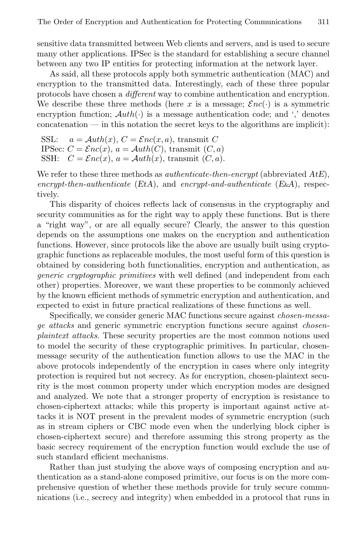sensitive data transmitted between Web clients and servers, and is used to secure many other applications. IPSec is the standard for establishing a secure channel between any two IP entities for protecting information at the network layer.

As said, all these protocols apply both symmetric authentication (MAC) and encryption to the transmitted data. Interestingly, each of these three popular protocols have chosen a different way to combine authentication and encryption. We describe these three methods (here x is a message;  $\mathcal{E}nc(\cdot)$  is a symmetric encryption function;  $\mathcal{A}uth(\cdot)$  is a message authentication code; and ',' denotes concatenation — in this notation the secret keys to the algorithms are implicit):

```
SSL: a = \mathcal{A}uth(x), C = \mathcal{E}nc(x, a), transmit C
IPSec: C = \mathcal{E}nc(x), a = \mathcal{A}uth(C), transmit (C, a)SSH: C = \mathcal{E}nc(x), a = \mathcal{A}uth(x), transmit (C, a).
```
We refer to these three methods as *authenticate-then-encrypt* (abbreviated  $AtE$ ), encrypt-then-authenticate (EtA), and encrypt-and-authenticate (EsA), respectively.

This disparity of choices reflects lack of consensus in the cryptography and security communities as for the right way to apply these functions. But is there a "right way", or are all equally secure? Clearly, the answer to this question depends on the assumptions one makes on the encryption and authentication functions. However, since protocols like the above are usually built using cryptographic functions as replaceable modules, the most useful form of this question is obtained by considering both functionalities, encryption and authentication, as generic cryptographic primitives with well defined (and independent from each other) properties. Moreover, we want these properties to be commonly achieved by the known efficient methods of symmetric encryption and authentication, and expected to exist in future practical realizations of these functions as well.

Specifically, we consider generic MAC functions secure against chosen-message attacks and generic symmetric encryption functions secure against chosenplaintext attacks. These security properties are the most common notions used to model the security of these cryptographic primitives. In particular, chosenmessage security of the authentication function allows to use the MAC in the above protocols independently of the encryption in cases where only integrity protection is required but not secrecy. As for encryption, chosen-plaintext security is the most common property under which encryption modes are designed and analyzed. We note that a stronger property of encryption is resistance to chosen-ciphertext attacks; while this property is important against active attacks it is NOT present in the prevalent modes of symmetric encryption (such as in stream ciphers or CBC mode even when the underlying block cipher is chosen-ciphertext secure) and therefore assuming this strong property as the basic secrecy requirement of the encryption function would exclude the use of such standard efficient mechanisms.

Rather than just studying the above ways of composing encryption and authentication as a stand-alone composed primitive, our focus is on the more comprehensive question of whether these methods provide for truly secure communications (i.e., secrecy and integrity) when embedded in a protocol that runs in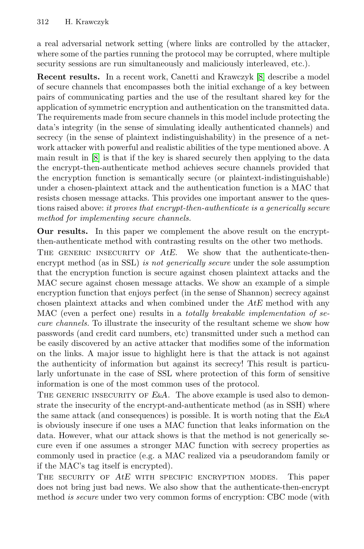a real adversarial network setting (where links are controlled by the attacker, where some of the parties running the protocol may be corrupted, where multiple security sessions are run simultaneously and maliciously interleaved, etc.).

**Recent results.** In a recent work, Canetti and Krawczyk [\[8\]](#page-20-0) describe a model of secure channels that encompasses both the initial exchange of a key between pairs of communicating parties and the use of the resultant shared key for the application of symmetric encryption and authentication on the transmitted data. The requirements made from secure channels in this model include protecting the data's integrity (in the sense of simulating ideally authenticated channels) and secrecy (in the sense of plaintext indistinguishability) in the presence of a network attacker with powerful and realistic abilities of the type mentioned above. A main result in [\[8\]](#page-20-0) is that if the key is shared securely then applying to the data the encrypt-then-authenticate method achieves secure channels provided that the encryption function is semantically secure (or plaintext-indistinguishable) under a chosen-plaintext attack and the authentication function is a MAC that resists chosen message attacks. This provides one important answer to the questions raised above: it proves that encrypt-then-authenticate is a generically secure method for implementing secure channels.

**Our results.** In this paper we complement the above result on the encryptthen-authenticate method with contrasting results on the other two methods.

THE GENERIC INSECURITY OF  $AtE$ . We show that the authenticate-thenencrypt method (as in SSL) is not generically secure under the sole assumption that the encryption function is secure against chosen plaintext attacks and the MAC secure against chosen message attacks. We show an example of a simple encryption function that enjoys perfect (in the sense of Shannon) secrecy against chosen plaintext attacks and when combined under the AtE method with any MAC (even a perfect one) results in a totally breakable implementation of secure channels. To illustrate the insecurity of the resultant scheme we show how passwords (and credit card numbers, etc) transmitted under such a method can be easily discovered by an active attacker that modifies some of the information on the links. A major issue to highlight here is that the attack is not against the authenticity of information but against its secrecy! This result is particularly unfortunate in the case of SSL where protection of this form of sensitive information is one of the most common uses of the protocol.

THE GENERIC INSECURITY OF E&A. The above example is used also to demonstrate the insecurity of the encrypt-and-authenticate method (as in SSH) where the same attack (and consequences) is possible. It is worth noting that the E&A is obviously insecure if one uses a MAC function that leaks information on the data. However, what our attack shows is that the method is not generically secure even if one assumes a stronger MAC function with secrecy properties as commonly used in practice (e.g. a MAC realized via a pseudorandom family or if the MAC's tag itself is encrypted).

THE SECURITY OF AtE WITH SPECIFIC ENCRYPTION MODES. This paper does not bring just bad news. We also show that the authenticate-then-encrypt method is secure under two very common forms of encryption: CBC mode (with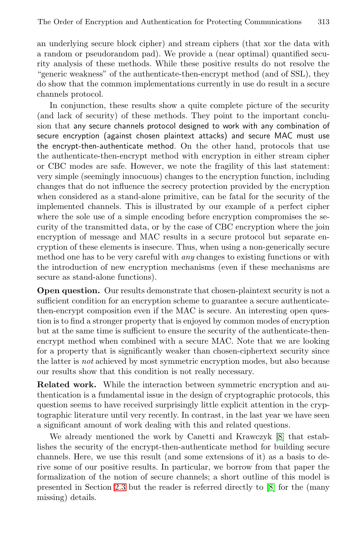an underlying secure block cipher) and stream ciphers (that xor the data with a random or pseudorandom pad). We provide a (near optimal) quantified security analysis of these methods. While these positive results do not resolve the "generic weakness" of the authenticate-then-encrypt method (and of SSL), they do show that the common implementations currently in use do result in a secure channels protocol.

In conjunction, these results show a quite complete picture of the security (and lack of security) of these methods. They point to the important conclusion that any secure channels protocol designed to work with any combination of secure encryption (against chosen plaintext attacks) and secure MAC must use the encrypt-then-authenticate method. On the other hand, protocols that use the authenticate-then-encrypt method with encryption in either stream cipher or CBC modes are safe. However, we note the fragility of this last statement: very simple (seemingly innocuous) changes to the encryption function, including changes that do not influence the secrecy protection provided by the encryption when considered as a stand-alone primitive, can be fatal for the security of the implemented channels. This is illustrated by our example of a perfect cipher where the sole use of a simple encoding before encryption compromises the security of the transmitted data, or by the case of CBC encryption where the join encryption of message and MAC results in a secure protocol but separate encryption of these elements is insecure. Thus, when using a non-generically secure method one has to be very careful with any changes to existing functions or with the introduction of new encryption mechanisms (even if these mechanisms are secure as stand-alone functions).

**Open question.** Our results demonstrate that chosen-plaintext security is not a sufficient condition for an encryption scheme to guarantee a secure authenticatethen-encrypt composition even if the MAC is secure. An interesting open question is to find a stronger property that is enjoyed by common modes of encryption but at the same time is sufficient to ensure the security of the authenticate-thenencrypt method when combined with a secure MAC. Note that we are looking for a property that is significantly weaker than chosen-ciphertext security since the latter is not achieved by most symmetric encryption modes, but also because our results show that this condition is not really necessary.

**Related work.** While the interaction between symmetric encryption and authentication is a fundamental issue in the design of cryptographic protocols, this question seems to have received surprisingly little explicit attention in the cryptographic literature until very recently. In contrast, in the last year we have seen a significant amount of work dealing with this and related questions.

We already mentioned the work by Canetti and Krawczyk [\[8\]](#page-20-0) that establishes the security of the encrypt-then-authenticate method for building secure channels. Here, we use this result (and some extensions of it) as a basis to derive some of our positive results. In particular, we borrow from that paper the formalization of the notion of secure channels; a short outline of this model is presented in Section [2.3](#page-7-0) but the reader is referred directly to [\[8\]](#page-20-0) for the (many missing) details.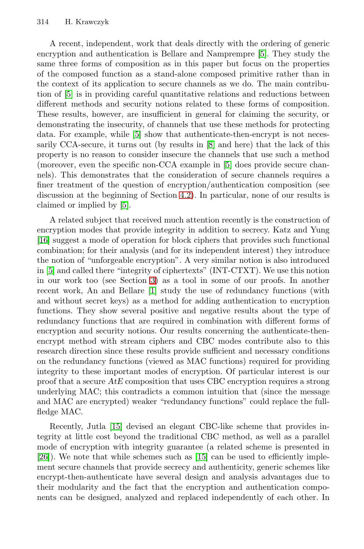A recent, independent, work that deals directly with the ordering of generic encryption and authentication is Bellare and Namprempre [\[5\]](#page-19-0). They study the same three forms of composition as in this paper but focus on the properties of the composed function as a stand-alone composed primitive rather than in the context of its application to secure channels as we do. The main contribution of [\[5\]](#page-19-0) is in providing careful quantitative relations and reductions between different methods and security notions related to these forms of composition. These results, however, are insufficient in general for claiming the security, or demonstrating the insecurity, of channels that use these methods for protecting data. For example, while [\[5\]](#page-19-0) show that authenticate-then-encrypt is not necessarily CCA-secure, it turns out (by results in [\[8\]](#page-20-0) and here) that the lack of this property is no reason to consider insecure the channels that use such a method (moreover, even the specific non-CCA example in [\[5\]](#page-19-0) does provide secure channels). This demonstrates that the consideration of secure channels requires a finer treatment of the question of encryption/authentication composition (see discussion at the beginning of Section [4.2\)](#page-11-0). In particular, none of our results is claimed or implied by [\[5\]](#page-19-0).

A related subject that received much attention recently is the construction of encryption modes that provide integrity in addition to secrecy. Katz and Yung [\[16\]](#page-20-0) suggest a mode of operation for block ciphers that provides such functional combination; for their analysis (and for its independent interest) they introduce the notion of "unforgeable encryption". A very similar notion is also introduced in [\[5\]](#page-19-0) and called there "integrity of ciphertexts" (INT-CTXT). We use this notion in our work too (see Section [3\)](#page-8-0) as a tool in some of our proofs. In another recent work, An and Bellare [\[1\]](#page-19-0) study the use of redundancy functions (with and without secret keys) as a method for adding authentication to encryption functions. They show several positive and negative results about the type of redundancy functions that are required in combination with different forms of encryption and security notions. Our results concerning the authenticate-thenencrypt method with stream ciphers and CBC modes contribute also to this research direction since these results provide sufficient and necessary conditions on the redundancy functions (viewed as MAC functions) required for providing integrity to these important modes of encryption. Of particular interest is our proof that a secure AtE composition that uses CBC encryption requires a strong underlying MAC; this contradicts a common intuition that (since the message and MAC are encrypted) weaker "redundancy functions" could replace the fullfledge MAC.

Recently, Jutla [\[15\]](#page-20-0) devised an elegant CBC-like scheme that provides integrity at little cost beyond the traditional CBC method, as well as a parallel mode of encryption with integrity guarantee (a related scheme is presented in [\[26\]](#page-21-0)). We note that while schemes such as [\[15\]](#page-20-0) can be used to efficiently implement secure channels that provide secrecy and authenticity, generic schemes like encrypt-then-authenticate have several design and analysis advantages due to their modularity and the fact that the encryption and authentication components can be designed, analyzed and replaced independently of each other. In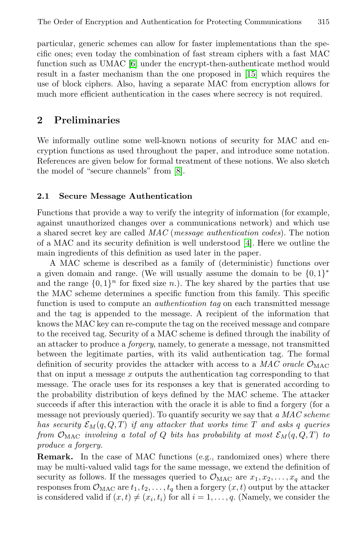<span id="page-5-0"></span>particular, generic schemes can allow for faster implementations than the specific ones; even today the combination of fast stream ciphers with a fast MAC function such as UMAC [\[6\]](#page-19-0) under the encrypt-then-authenticate method would result in a faster mechanism than the one proposed in [\[15\]](#page-20-0) which requires the use of block ciphers. Also, having a separate MAC from encryption allows for much more efficient authentication in the cases where secrecy is not required.

# **2 Preliminaries**

We informally outline some well-known notions of security for MAC and encryption functions as used throughout the paper, and introduce some notation. References are given below for formal treatment of these notions. We also sketch the model of "secure channels" from [\[8\]](#page-20-0).

### **2.1 Secure Message Authentication**

Functions that provide a way to verify the integrity of information (for example, against unauthorized changes over a communications network) and which use a shared secret key are called MAC (message authentication codes). The notion of a MAC and its security definition is well understood [\[4\]](#page-19-0). Here we outline the main ingredients of this definition as used later in the paper.

A MAC scheme is described as a family of (deterministic) functions over a given domain and range. (We will usually assume the domain to be  $\{0,1\}^*$ and the range  $\{0,1\}^n$  for fixed size n.). The key shared by the parties that use the MAC scheme determines a specific function from this family. This specific function is used to compute an *authentication tag* on each transmitted message and the tag is appended to the message. A recipient of the information that knows the MAC key can re-compute the tag on the received message and compare to the received tag. Security of a MAC scheme is defined through the inability of an attacker to produce a forgery, namely, to generate a message, not transmitted between the legitimate parties, with its valid authentication tag. The formal definition of security provides the attacker with access to a  $MAC$  oracle  $\mathcal{O}_{\text{MAC}}$ that on input a message  $x$  outputs the authentication tag corresponding to that message. The oracle uses for its responses a key that is generated according to the probability distribution of keys defined by the MAC scheme. The attacker succeeds if after this interaction with the oracle it is able to find a forgery (for a message not previously queried). To quantify security we say that a MAC scheme has security  $\mathcal{E}_M(q, Q, T)$  if any attacker that works time T and asks q queries from  $\mathcal{O}_{\text{MAC}}$  involving a total of Q bits has probability at most  $\mathcal{E}_M(q,Q,T)$  to produce a forgery.

**Remark.** In the case of MAC functions (e.g., randomized ones) where there may be multi-valued valid tags for the same message, we extend the definition of security as follows. If the messages queried to  $\mathcal{O}_{\text{MAC}}$  are  $x_1, x_2, \ldots, x_q$  and the responses from  $\mathcal{O}_{\text{MAC}}$  are  $t_1, t_2, \ldots, t_q$  then a forgery  $(x, t)$  output by the attacker is considered valid if  $(x, t) \neq (x_i, t_i)$  for all  $i = 1, \ldots, q$ . (Namely, we consider the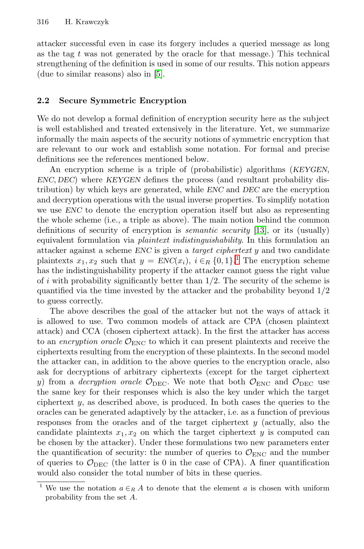<span id="page-6-0"></span>attacker successful even in case its forgery includes a queried message as long as the tag  $t$  was not generated by the oracle for that message.) This technical strengthening of the definition is used in some of our results. This notion appears (due to similar reasons) also in [\[5\]](#page-19-0).

## **2.2 Secure Symmetric Encryption**

We do not develop a formal definition of encryption security here as the subject is well established and treated extensively in the literature. Yet, we summarize informally the main aspects of the security notions of symmetric encryption that are relevant to our work and establish some notation. For formal and precise definitions see the references mentioned below.

An encryption scheme is a triple of (probabilistic) algorithms (KEYGEN, ENC, DEC) where KEYGEN defines the process (and resultant probability distribution) by which keys are generated, while ENC and DEC are the encryption and decryption operations with the usual inverse properties. To simplify notation we use ENC to denote the encryption operation itself but also as representing the whole scheme (i.e., a triple as above). The main notion behind the common definitions of security of encryption is semantic security [\[13\]](#page-20-0), or its (usually) equivalent formulation via plaintext indistinguishability. In this formulation an attacker against a scheme ENC is given a target ciphertext y and two candidate plaintexts  $x_1, x_2$  such that  $y = ENC(x_i), i \in_R \{0, 1\}$ .<sup>1</sup> The encryption scheme has the indistinguishability property if the attacker cannot guess the right value of i with probability significantly better than  $1/2$ . The security of the scheme is quantified via the time invested by the attacker and the probability beyond 1/2 to guess correctly.

The above describes the goal of the attacker but not the ways of attack it is allowed to use. Two common models of attack are CPA (chosen plaintext attack) and CCA (chosen ciphertext attack). In the first the attacker has access to an encryption oracle  $\mathcal{O}_{\text{ENC}}$  to which it can present plaintexts and receive the ciphertexts resulting from the encryption of these plaintexts. In the second model the attacker can, in addition to the above queries to the encryption oracle, also ask for decryptions of arbitrary ciphertexts (except for the target ciphertext y) from a *decryption oracle*  $\mathcal{O}_{\text{DEC}}$ . We note that both  $\mathcal{O}_{\text{ENC}}$  and  $\mathcal{O}_{\text{DEC}}$  use the same key for their responses which is also the key under which the target ciphertext  $y$ , as described above, is produced. In both cases the queries to the oracles can be generated adaptively by the attacker, i.e. as a function of previous responses from the oracles and of the target ciphertext y (actually, also the candidate plaintexts  $x_1, x_2$  on which the target ciphertext y is computed can be chosen by the attacker). Under these formulations two new parameters enter the quantification of security: the number of queries to  $\mathcal{O}_{\rm ENC}$  and the number of queries to  $\mathcal{O}_{\text{DEC}}$  (the latter is 0 in the case of CPA). A finer quantification would also consider the total number of bits in these queries.

<sup>&</sup>lt;sup>1</sup> We use the notation  $a \in_R A$  to denote that the element a is chosen with uniform probability from the set A.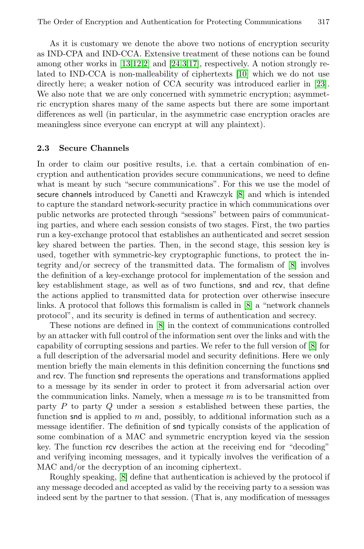<span id="page-7-0"></span>As it is customary we denote the above two notions of encryption security as IND-CPA and IND-CCA. Extensive treatment of these notions can be found among other works in  $[13,12,2]$  $[13,12,2]$  and  $[24,3,17]$  $[24,3,17]$  $[24,3,17]$ , respectively. A notion strongly related to IND-CCA is non-malleability of ciphertexts [\[10\]](#page-20-0) which we do not use directly here; a weaker notion of CCA security was introduced earlier in [\[23\]](#page-20-0). We also note that we are only concerned with symmetric encryption; asymmetric encryption shares many of the same aspects but there are some important differences as well (in particular, in the asymmetric case encryption oracles are meaningless since everyone can encrypt at will any plaintext).

#### **2.3 Secure Channels**

In order to claim our positive results, i.e. that a certain combination of encryption and authentication provides secure communications, we need to define what is meant by such "secure communications". For this we use the model of secure channels introduced by Canetti and Krawczyk [\[8\]](#page-20-0) and which is intended to capture the standard network-security practice in which communications over public networks are protected through "sessions" between pairs of communicating parties, and where each session consists of two stages. First, the two parties run a key-exchange protocol that establishes an authenticated and secret session key shared between the parties. Then, in the second stage, this session key is used, together with symmetric-key cryptographic functions, to protect the integrity and/or secrecy of the transmitted data. The formalism of [\[8\]](#page-20-0) involves the definition of a key-exchange protocol for implementation of the session and key establishment stage, as well as of two functions, snd and rcv, that define the actions applied to transmitted data for protection over otherwise insecure links. A protocol that follows this formalism is called in [\[8\]](#page-20-0) a "network channels protocol", and its security is defined in terms of authentication and secrecy.

These notions are defined in [\[8\]](#page-20-0) in the context of communications controlled by an attacker with full control of the information sent over the links and with the capability of corrupting sessions and parties. We refer to the full version of [\[8\]](#page-20-0) for a full description of the adversarial model and security definitions. Here we only mention briefly the main elements in this definition concerning the functions snd and rcv. The function snd represents the operations and transformations applied to a message by its sender in order to protect it from adversarial action over the communication links. Namely, when a message  $m$  is to be transmitted from party  $P$  to party  $Q$  under a session  $s$  established between these parties, the function snd is applied to  $m$  and, possibly, to additional information such as a message identifier. The definition of snd typically consists of the application of some combination of a MAC and symmetric encryption keyed via the session key. The function rcv describes the action at the receiving end for "decoding" and verifying incoming messages, and it typically involves the verification of a MAC and/or the decryption of an incoming ciphertext.

Roughly speaking, [\[8\]](#page-20-0) define that authentication is achieved by the protocol if any message decoded and accepted as valid by the receiving party to a session was indeed sent by the partner to that session. (That is, any modification of messages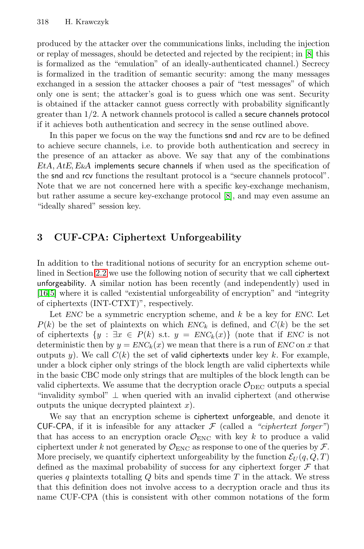<span id="page-8-0"></span>produced by the attacker over the communications links, including the injection or replay of messages, should be detected and rejected by the recipient; in [\[8\]](#page-20-0) this is formalized as the "emulation" of an ideally-authenticated channel.) Secrecy is formalized in the tradition of semantic security: among the many messages exchanged in a session the attacker chooses a pair of "test messages" of which only one is sent; the attacker's goal is to guess which one was sent. Security is obtained if the attacker cannot guess correctly with probability significantly greater than 1/2. A network channels protocol is called a secure channels protocol if it achieves both authentication and secrecy in the sense outlined above.

In this paper we focus on the way the functions snd and rcv are to be defined to achieve secure channels, i.e. to provide both authentication and secrecy in the presence of an attacker as above. We say that any of the combinations  $EtA, AtE, ExA$  implements secure channels if when used as the specification of the snd and rcv functions the resultant protocol is a "secure channels protocol". Note that we are not concerned here with a specific key-exchange mechanism, but rather assume a secure key-exchange protocol [\[8\]](#page-20-0), and may even assume an "ideally shared" session key.

# **3 CUF-CPA: Ciphertext Unforgeability**

In addition to the traditional notions of security for an encryption scheme outlined in Section [2.2](#page-6-0) we use the following notion of security that we call ciphertext unforgeability. A similar notion has been recently (and independently) used in [\[16](#page-20-0)[,5\]](#page-19-0) where it is called "existential unforgeability of encryption" and "integrity of ciphertexts (INT-CTXT)", respectively.

Let  $ENC$  be a symmetric encryption scheme, and  $k$  be a key for  $ENC$ . Let  $P(k)$  be the set of plaintexts on which  $ENC_k$  is defined, and  $C(k)$  be the set of ciphertexts  $\{y : \exists x \in P(k) \text{ s.t. } y = ENC_k(x)\}\$  (note that if ENC is not deterministic then by  $y = ENC_k(x)$  we mean that there is a run of ENC on x that outputs y). We call  $C(k)$  the set of valid ciphertexts under key k. For example, under a block cipher only strings of the block length are valid ciphertexts while in the basic CBC mode only strings that are multiples of the block length can be valid ciphertexts. We assume that the decryption oracle  $\mathcal{O}_{\text{DEC}}$  outputs a special "invalidity symbol"  $\perp$  when queried with an invalid ciphertext (and otherwise outputs the unique decrypted plaintext  $x$ ).

We say that an encryption scheme is ciphertext unforgeable, and denote it CUF-CPA, if it is infeasible for any attacker  $\mathcal F$  (called a "ciphertext forger") that has access to an encryption oracle  $\mathcal{O}_{\rm ENC}$  with key k to produce a valid ciphertext under k not generated by  $\mathcal{O}_{\rm ENC}$  as response to one of the queries by  $\mathcal{F}$ . More precisely, we quantify ciphertext unforgeability by the function  $\mathcal{E}_U(q, Q, T)$ defined as the maximal probability of success for any ciphertext forger  $\mathcal F$  that queries q plaintexts totalling  $Q$  bits and spends time  $T$  in the attack. We stress that this definition does not involve access to a decryption oracle and thus its name CUF-CPA (this is consistent with other common notations of the form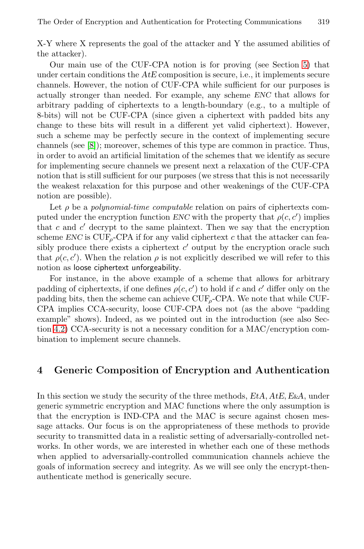X-Y where X represents the goal of the attacker and Y the assumed abilities of the attacker).

Our main use of the CUF-CPA notion is for proving (see Section [5\)](#page-14-0) that under certain conditions the  $AtE$  composition is secure, i.e., it implements secure channels. However, the notion of CUF-CPA while sufficient for our purposes is actually stronger than needed. For example, any scheme ENC that allows for arbitrary padding of ciphertexts to a length-boundary (e.g., to a multiple of 8-bits) will not be CUF-CPA (since given a ciphertext with padded bits any change to these bits will result in a different yet valid ciphertext). However, such a scheme may be perfectly secure in the context of implementing secure channels (see [\[8\]](#page-20-0)); moreover, schemes of this type are common in practice. Thus, in order to avoid an artificial limitation of the schemes that we identify as secure for implementing secure channels we present next a relaxation of the CUF-CPA notion that is still sufficient for our purposes (we stress that this is not necessarily the weakest relaxation for this purpose and other weakenings of the CUF-CPA notion are possible).

Let  $\rho$  be a *polynomial-time computable* relation on pairs of ciphertexts computed under the encryption function ENC with the property that  $\rho(c, c')$  implies that c and  $c'$  decrypt to the same plaintext. Then we say that the encryption scheme  $ENC$  is  $CUF_{\rho}$ -CPA if for any valid ciphertext c that the attacker can feasibly produce there exists a ciphertext  $c'$  output by the encryption oracle such that  $\rho(c, c')$ . When the relation  $\rho$  is not explicitly described we will refer to this notion as loose ciphertext unforgeability.

For instance, in the above example of a scheme that allows for arbitrary padding of ciphertexts, if one defines  $\rho(c, c')$  to hold if c and c' differ only on the padding bits, then the scheme can achieve  $\text{CUF}_o$ -CPA. We note that while CUF-CPA implies CCA-security, loose CUF-CPA does not (as the above "padding example" shows). Indeed, as we pointed out in the introduction (see also Section [4.2\)](#page-11-0) CCA-security is not a necessary condition for a MAC/encryption combination to implement secure channels.

## **4 Generic Composition of Encryption and Authentication**

In this section we study the security of the three methods,  $EtA, AtE, ExA$ , under generic symmetric encryption and MAC functions where the only assumption is that the encryption is IND-CPA and the MAC is secure against chosen message attacks. Our focus is on the appropriateness of these methods to provide security to transmitted data in a realistic setting of adversarially-controlled networks. In other words, we are interested in whether each one of these methods when applied to adversarially-controlled communication channels achieve the goals of information secrecy and integrity. As we will see only the encrypt-thenauthenticate method is generically secure.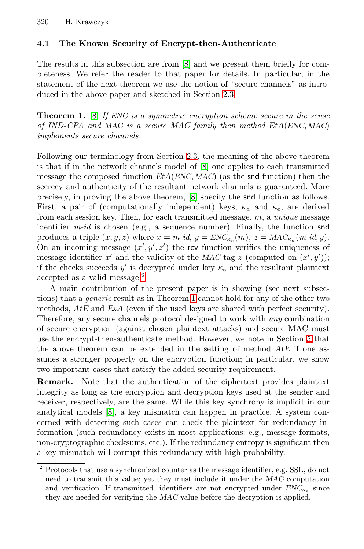## <span id="page-10-0"></span>**4.1 The Known Security of Encrypt-then-Authenticate**

The results in this subsection are from [\[8\]](#page-20-0) and we present them briefly for completeness. We refer the reader to that paper for details. In particular, in the statement of the next theorem we use the notion of "secure channels" as introduced in the above paper and sketched in Section [2.3.](#page-7-0)

**Theorem 1.** [\[8\]](#page-20-0) If ENC is a symmetric encryption scheme secure in the sense of IND-CPA and MAC is a secure MAC family then method EtA(ENC, MAC) implements secure channels.

Following our terminology from Section [2.3,](#page-7-0) the meaning of the above theorem is that if in the network channels model of [\[8\]](#page-20-0) one applies to each transmitted message the composed function  $E\mathcal{H}(ENC, MAC)$  (as the snd function) then the secrecy and authenticity of the resultant network channels is guaranteed. More precisely, in proving the above theorem, [\[8\]](#page-20-0) specify the snd function as follows. First, a pair of (computationally independent) keys,  $\kappa_a$  and  $\kappa_e$ , are derived from each session key. Then, for each transmitted message,  $m$ , a unique message identifier  $m$ -id is chosen (e.g., a sequence number). Finally, the function snd produces a triple  $(x, y, z)$  where  $x = m$ -id,  $y = ENC_{\kappa_e}(m)$ ,  $z = MAC_{\kappa_a}(m$ -id, y). On an incoming message  $(x', y', z')$  the rcv function verifies the uniqueness of message identifier x' and the validity of the MAC tag z (computed on  $(x', y')$ ); if the checks succeeds y' is decrypted under key  $\kappa_e$  and the resultant plaintext accepted as a valid message.<sup>2</sup>

A main contribution of the present paper is in showing (see next subsections) that a generic result as in Theorem 1 cannot hold for any of the other two methods,  $AtE$  and  $ExA$  (even if the used keys are shared with perfect security). Therefore, any secure channels protocol designed to work with any combination of secure encryption (against chosen plaintext attacks) and secure MAC must use the encrypt-then-authenticate method. However, we note in Section [5](#page-14-0) that the above theorem can be extended in the setting of method  $AtE$  if one assumes a stronger property on the encryption function; in particular, we show two important cases that satisfy the added security requirement.

**Remark.** Note that the authentication of the ciphertext provides plaintext integrity as long as the encryption and decryption keys used at the sender and receiver, respectively, are the same. While this key synchrony is implicit in our analytical models [\[8\]](#page-20-0), a key mismatch can happen in practice. A system concerned with detecting such cases can check the plaintext for redundancy information (such redundancy exists in most applications: e.g., message formats, non-cryptographic checksums, etc.). If the redundancy entropy is significant then a key mismatch will corrupt this redundancy with high probability.

<sup>&</sup>lt;sup>2</sup> Protocols that use a synchronized counter as the message identifier, e.g. SSL, do not need to transmit this value; yet they must include it under the MAC computation and verification. If transmitted, identifiers are not encrypted under  $ENC_{\kappa_e}$  since they are needed for verifying the MAC value before the decryption is applied.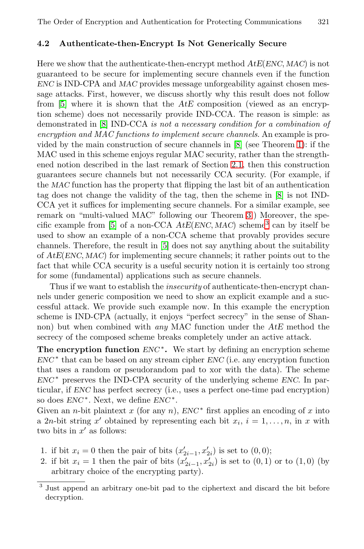#### <span id="page-11-0"></span>**4.2 Authenticate-then-Encrypt Is Not Generically Secure**

Here we show that the authenticate-then-encrypt method  $AtE(ENC, MAC)$  is not guaranteed to be secure for implementing secure channels even if the function ENC is IND-CPA and MAC provides message unforgeability against chosen message attacks. First, however, we discuss shortly why this result does not follow from  $[5]$  where it is shown that the  $AtE$  composition (viewed as an encryption scheme) does not necessarily provide IND-CCA. The reason is simple: as demonstrated in [\[8\]](#page-20-0) IND-CCA is not a necessary condition for a combination of encryption and MAC functions to implement secure channels. An example is provided by the main construction of secure channels in [\[8\]](#page-20-0) (see Theorem [1\)](#page-10-0): if the MAC used in this scheme enjoys regular MAC security, rather than the strengthened notion described in the last remark of Section [2.1,](#page-5-0) then this construction guarantees secure channels but not necessarily CCA security. (For example, if the MAC function has the property that flipping the last bit of an authentication tag does not change the validity of the tag, then the scheme in [\[8\]](#page-20-0) is not IND-CCA yet it suffices for implementing secure channels. For a similar example, see remark on "multi-valued MAC" following our Theorem [3.](#page-15-0)) Moreover, the spe-cific example from [\[5\]](#page-19-0) of a non-CCA  $AtE(ENC, MAC)$  scheme<sup>3</sup> can by itself be used to show an example of a non-CCA scheme that provably provides secure channels. Therefore, the result in [\[5\]](#page-19-0) does not say anything about the suitability of AtE(ENC, MAC) for implementing secure channels; it rather points out to the fact that while CCA security is a useful security notion it is certainly too strong for some (fundamental) applications such as secure channels.

Thus if we want to establish the *insecurity* of authenticate-then-encrypt channels under generic composition we need to show an explicit example and a successful attack. We provide such example now. In this example the encryption scheme is IND-CPA (actually, it enjoys "perfect secrecy" in the sense of Shannon) but when combined with *any* MAC function under the  $AtE$  method the secrecy of the composed scheme breaks completely under an active attack.

**The encryption function** ENC<sup>∗</sup>. We start by defining an encryption scheme  $ENC^*$  that can be based on any stream cipher  $ENC$  (i.e. any encryption function that uses a random or pseudorandom pad to xor with the data). The scheme  $ENC^*$  preserves the IND-CPA security of the underlying scheme ENC. In particular, if ENC has perfect secrecy (i.e., uses a perfect one-time pad encryption) so does  $ENC^*$ . Next, we define  $ENC^*$ .

Given an *n*-bit plaintext x (for any n),  $ENC^*$  first applies an encoding of x into a 2*n*-bit string x' obtained by representing each bit  $x_i$ ,  $i = 1, \ldots, n$ , in x with two bits in  $x'$  as follows:

- 1. if bit  $x_i = 0$  then the pair of bits  $(x'_{2i-1}, x'_{2i})$  is set to  $(0, 0)$ ;
- 2. if bit  $x_i = 1$  then the pair of bits  $(x'_{2i-1}, x'_{2i})$  is set to  $(0, 1)$  or to  $(1, 0)$  (by arbitrary choice of the encrypting party).

<sup>3</sup> Just append an arbitrary one-bit pad to the ciphertext and discard the bit before decryption.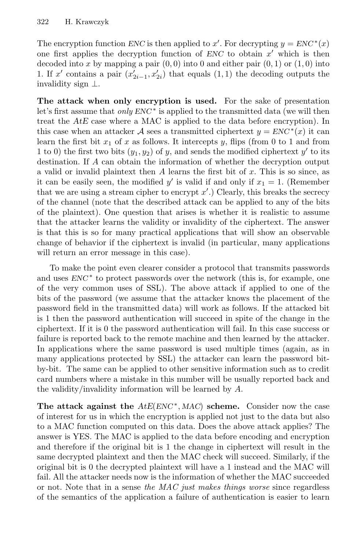The encryption function ENC is then applied to x'. For decrypting  $y = ENC^*(x)$ one first applies the decryption function of  $ENC$  to obtain  $x'$  which is then decoded into x by mapping a pair  $(0, 0)$  into 0 and either pair  $(0, 1)$  or  $(1, 0)$  into 1. If x' contains a pair  $(x'_{2i-1}, x'_{2i})$  that equals  $(1, 1)$  the decoding outputs the invalidity sign ⊥.

**The attack when only encryption is used.** For the sake of presentation let's first assume that  $only \, ENC^*$  is applied to the transmitted data (we will then treat the AtE case where a MAC is applied to the data before encryption). In this case when an attacker A sees a transmitted ciphertext  $y = ENC^*(x)$  it can learn the first bit  $x_1$  of x as follows. It intercepts y, flips (from 0 to 1 and from 1 to 0) the first two bits  $(y_1, y_2)$  of y, and sends the modified ciphertext y' to its destination. If A can obtain the information of whether the decryption output a valid or invalid plaintext then  $A$  learns the first bit of  $x$ . This is so since, as it can be easily seen, the modified y' is valid if and only if  $x_1 = 1$ . (Remember that we are using a stream cipher to encrypt  $x'$ .) Clearly, this breaks the secrecy of the channel (note that the described attack can be applied to any of the bits of the plaintext). One question that arises is whether it is realistic to assume that the attacker learns the validity or invalidity of the ciphertext. The answer is that this is so for many practical applications that will show an observable change of behavior if the ciphertext is invalid (in particular, many applications will return an error message in this case).

To make the point even clearer consider a protocol that transmits passwords and uses  $ENC^*$  to protect passwords over the network (this is, for example, one of the very common uses of SSL). The above attack if applied to one of the bits of the password (we assume that the attacker knows the placement of the password field in the transmitted data) will work as follows. If the attacked bit is 1 then the password authentication will succeed in spite of the change in the ciphertext. If it is 0 the password authentication will fail. In this case success or failure is reported back to the remote machine and then learned by the attacker. In applications where the same password is used multiple times (again, as in many applications protected by SSL) the attacker can learn the password bitby-bit. The same can be applied to other sensitive information such as to credit card numbers where a mistake in this number will be usually reported back and the validity/invalidity information will be learned by A.

**The attack against the**  $AtE(ENC^*, MAC)$  **scheme.** Consider now the case of interest for us in which the encryption is applied not just to the data but also to a MAC function computed on this data. Does the above attack applies? The answer is YES. The MAC is applied to the data before encoding and encryption and therefore if the original bit is 1 the change in ciphertext will result in the same decrypted plaintext and then the MAC check will succeed. Similarly, if the original bit is 0 the decrypted plaintext will have a 1 instead and the MAC will fail. All the attacker needs now is the information of whether the MAC succeeded or not. Note that in a sense the MAC just makes things worse since regardless of the semantics of the application a failure of authentication is easier to learn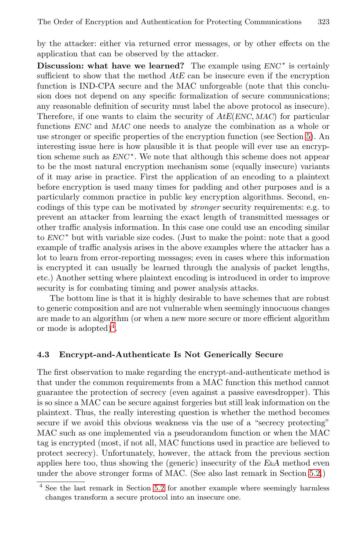<span id="page-13-0"></span>by the attacker: either via returned error messages, or by other effects on the application that can be observed by the attacker.

**Discussion: what have we learned?** The example using  $ENC^*$  is certainly sufficient to show that the method  $AtE$  can be insecure even if the encryption function is IND-CPA secure and the MAC unforgeable (note that this conclusion does not depend on any specific formalization of secure communications; any reasonable definition of security must label the above protocol as insecure). Therefore, if one wants to claim the security of  $A_t E(ENC, MAC)$  for particular functions ENC and MAC one needs to analyze the combination as a whole or use stronger or specific properties of the encryption function (see Section [5\)](#page-14-0). An interesting issue here is how plausible it is that people will ever use an encryption scheme such as  $ENC^*$ . We note that although this scheme does not appear to be the most natural encryption mechanism some (equally insecure) variants of it may arise in practice. First the application of an encoding to a plaintext before encryption is used many times for padding and other purposes and is a particularly common practice in public key encryption algorithms. Second, encodings of this type can be motivated by stronger security requirements: e.g. to prevent an attacker from learning the exact length of transmitted messages or other traffic analysis information. In this case one could use an encoding similar to  $ENC^*$  but with variable size codes. (Just to make the point: note that a good example of traffic analysis arises in the above examples where the attacker has a lot to learn from error-reporting messages; even in cases where this information is encrypted it can usually be learned through the analysis of packet lengths, etc.) Another setting where plaintext encoding is introduced in order to improve security is for combating timing and power analysis attacks.

The bottom line is that it is highly desirable to have schemes that are robust to generic composition and are not vulnerable when seemingly innocuous changes are made to an algorithm (or when a new more secure or more efficient algorithm or mode is adopted)<sup>4</sup>.

#### **4.3 Encrypt-and-Authenticate Is Not Generically Secure**

The first observation to make regarding the encrypt-and-authenticate method is that under the common requirements from a MAC function this method cannot guarantee the protection of secrecy (even against a passive eavesdropper). This is so since a MAC can be secure against forgeries but still leak information on the plaintext. Thus, the really interesting question is whether the method becomes secure if we avoid this obvious weakness via the use of a "secrecy protecting" MAC such as one implemented via a pseudorandom function or when the MAC tag is encrypted (most, if not all, MAC functions used in practice are believed to protect secrecy). Unfortunately, however, the attack from the previous section applies here too, thus showing the (generic) insecurity of the E&A method even under the above stronger forms of MAC. (See also last remark in Section [5.2.](#page-14-0))

<sup>&</sup>lt;sup>4</sup> See the last remark in Section [5.2](#page-14-0) for another example where seemingly harmless changes transform a secure protocol into an insecure one.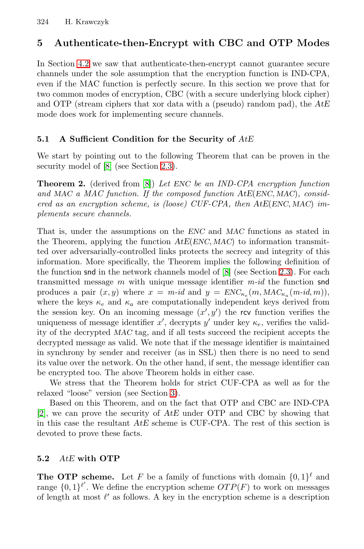# <span id="page-14-0"></span>**5 Authenticate-then-Encrypt with CBC and OTP Modes**

In Section [4.2](#page-11-0) we saw that authenticate-then-encrypt cannot guarantee secure channels under the sole assumption that the encryption function is IND-CPA, even if the MAC function is perfectly secure. In this section we prove that for two common modes of encryption, CBC (with a secure underlying block cipher) and OTP (stream ciphers that xor data with a (pseudo) random pad), the  $AtE$ mode does work for implementing secure channels.

## **5.1 A Sufficient Condition for the Security of** AtE

We start by pointing out to the following Theorem that can be proven in the security model of [\[8\]](#page-20-0) (see Section [2.3\)](#page-7-0).

**Theorem 2.** (derived from [\[8\]](#page-20-0)) Let ENC be an IND-CPA encryption function and MAC a MAC function. If the composed function AtE(ENC, MAC), considered as an encryption scheme, is (loose) CUF-CPA, then  $AtE(ENC, MAC)$  implements secure channels.

That is, under the assumptions on the ENC and MAC functions as stated in the Theorem, applying the function  $A_t E(ENC, MAC)$  to information transmitted over adversarially-controlled links protects the secrecy and integrity of this information. More specifically, the Theorem implies the following definition of the function snd in the network channels model of [\[8\]](#page-20-0) (see Section [2.3\)](#page-7-0). For each transmitted message m with unique message identifier  $m$ -id the function snd produces a pair  $(x, y)$  where  $x = m$ -id and  $y = ENC_{\kappa_e}(m, MAC_{\kappa_a}(m \text{-} id, m)),$ where the keys  $\kappa_e$  and  $\kappa_a$  are computationally independent keys derived from the session key. On an incoming message  $(x', y')$  the rcv function verifies the uniqueness of message identifier x', decrypts y' under key  $\kappa_e$ , verifies the validity of the decrypted MAC tag, and if all tests succeed the recipient accepts the decrypted message as valid. We note that if the message identifier is maintained in synchrony by sender and receiver (as in SSL) then there is no need to send its value over the network. On the other hand, if sent, the message identifier can be encrypted too. The above Theorem holds in either case.

We stress that the Theorem holds for strict CUF-CPA as well as for the relaxed "loose" version (see Section [3\)](#page-8-0).

Based on this Theorem, and on the fact that OTP and CBC are IND-CPA [\[2\]](#page-19-0), we can prove the security of AtE under OTP and CBC by showing that in this case the resultant AtE scheme is CUF-CPA. The rest of this section is devoted to prove these facts.

## **5.2** AtE **with OTP**

**The OTP scheme.** Let F be a family of functions with domain  $\{0,1\}^{\ell}$  and range  $\{0,1\}^{\ell'}$ . We define the encryption scheme  $OTP(F)$  to work on messages of length at most  $\ell'$  as follows. A key in the encryption scheme is a description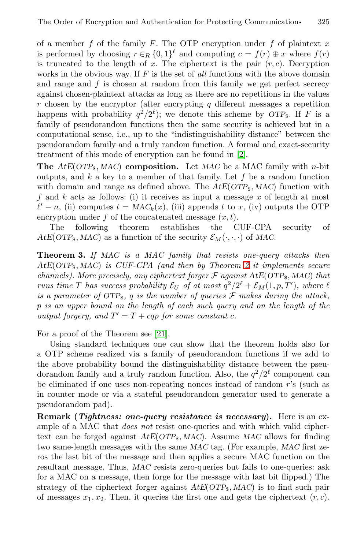<span id="page-15-0"></span>of a member  $f$  of the family  $F$ . The OTP encryption under  $f$  of plaintext  $x$ is performed by choosing  $r \in_R \{0,1\}^{\ell}$  and computing  $c = f(r) \oplus x$  where  $f(r)$ is truncated to the length of x. The ciphertext is the pair  $(r, c)$ . Decryption works in the obvious way. If  $F$  is the set of all functions with the above domain and range and  $f$  is chosen at random from this family we get perfect secrecy against chosen-plaintext attacks as long as there are no repetitions in the values  $r$  chosen by the encryptor (after encrypting  $q$  different messages a repetition happens with probability  $q^2/2^{\ell}$ ; we denote this scheme by OTP<sub>\$</sub>. If F is a family of pseudorandom functions then the same security is achieved but in a computational sense, i.e., up to the "indistinguishability distance" between the pseudorandom family and a truly random function. A formal and exact-security treatment of this mode of encryption can be found in [\[2\]](#page-19-0).

**The**  $AtE(OTP<sub>s</sub>, MAC)$  **composition.** Let MAC be a MAC family with *n*-bit outputs, and  $k$  a key to a member of that family. Let  $f$  be a random function with domain and range as defined above. The  $AtE(OTP<sub>§</sub>, MAC)$  function with f and k acts as follows: (i) it receives as input a message  $x$  of length at most  $\ell' - n$ , (ii) computes  $t = MAC_k(x)$ , (iii) appends t to x, (iv) outputs the OTP encryption under f of the concatenated message  $(x, t)$ .

The following theorem establishes the CUF-CPA security of  $AtE(OTP<sub>s</sub>, MAC)$  as a function of the security  $\mathcal{E}_M(\cdot, \cdot, \cdot)$  of MAC.

**Theorem 3.** If MAC is a MAC family that resists one-query attacks then  $A t E(OTP<sub>s</sub>, MAC)$  is  $CUF-CPA$  (and then by Theorem [2](#page-14-0) it implements secure channels). More precisely, any ciphertext forger  $\mathcal F$  against  $\mathrm{AtE}(\mathrm{OTP}_8,\mathrm{MAC})$  that runs time T has success probability  $\mathcal{E}_U$  of at most  $q^2/2^{\ell} + \mathcal{E}_M(1,p,T')$ , where  $\ell$ is a parameter of  $\text{OTP}_\$$ , q is the number of queries  $\mathcal F$  makes during the attack, p is an upper bound on the length of each such query and on the length of the output forgery, and  $T' = T + cap$  for some constant c.

For a proof of the Theorem see [\[21\]](#page-20-0).

Using standard techniques one can show that the theorem holds also for a OTP scheme realized via a family of pseudorandom functions if we add to the above probability bound the distinguishability distance between the pseudorandom family and a truly random function. Also, the  $q^2/2^{\ell}$  component can be eliminated if one uses non-repeating nonces instead of random r's (such as in counter mode or via a stateful pseudorandom generator used to generate a pseudorandom pad).

**Remark (***Tightness: one-query resistance is necessary***).** Here is an example of a MAC that *does not* resist one-queries and with which valid ciphertext can be forged against  $AtE(OTP<sub>s</sub>, MAC)$ . Assume MAC allows for finding two same-length messages with the same MAC tag. (For example, MAC first zeros the last bit of the message and then applies a secure MAC function on the resultant message. Thus, MAC resists zero-queries but fails to one-queries: ask for a MAC on a message, then forge for the message with last bit flipped.) The strategy of the ciphertext forger against  $AtE(OTP<sub>s</sub>, MAC)$  is to find such pair of messages  $x_1, x_2$ . Then, it queries the first one and gets the ciphertext  $(r, c)$ .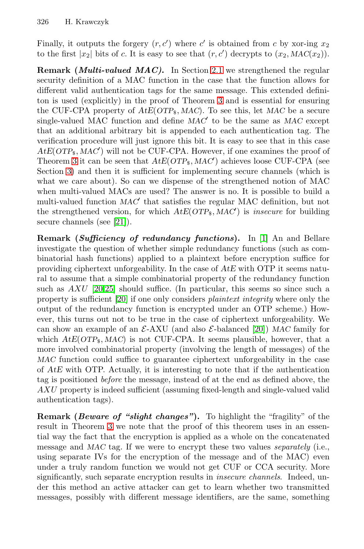Finally, it outputs the forgery  $(r, c')$  where c' is obtained from c by xor-ing  $x_2$ to the first  $|x_2|$  bits of c. It is easy to see that  $(r, c')$  decrypts to  $(x_2, MAC(x_2))$ .

**Remark (***Multi-valued MAC)***.** In Section [2.1](#page-5-0) we strengthened the regular security definition of a MAC function in the case that the function allows for different valid authentication tags for the same message. This extended definiton is used (explicitly) in the proof of Theorem [3](#page-15-0) and is essential for ensuring the CUF-CPA property of  $A t E(OTP<sub>$</sub>, MAC)$ . To see this, let MAC be a secure single-valued MAC function and define  $MAC<sub>o</sub>$  to be the same as  $MAC$  except that an additional arbitrary bit is appended to each authentication tag. The verification procedure will just ignore this bit. It is easy to see that in this case  $AtE(OTP<sub>$</sub>, MAC')$  will not be CUF-CPA. However, if one examines the proof of Theorem [3](#page-15-0) it can be seen that  $AtE(OTP<sub>s</sub>, MAC')$  achieves loose CUF-CPA (see Section [3\)](#page-8-0) and then it is sufficient for implementing secure channels (which is what we care about). So can we dispense of the strengthened notion of MAC when multi-valued MACs are used? The answer is no. It is possible to build a multi-valued function  $MAC<sub>o</sub>$  that satisfies the regular MAC definition, but not the strengthened version, for which  $AtE(OTP<sub>s</sub>, MAC')$  is *insecure* for building secure channels (see [\[21\]](#page-20-0)).

**Remark (***Sufficiency of redundancy functions***).** In [\[1\]](#page-19-0) An and Bellare investigate the question of whether simple redundancy functions (such as combinatorial hash functions) applied to a plaintext before encryption suffice for providing ciphertext unforgeability. In the case of AtE with OTP it seems natural to assume that a simple combinatorial property of the redundancy function such as AXU [\[20,25\]](#page-20-0) should suffice. (In particular, this seems so since such a property is sufficient [\[20\]](#page-20-0) if one only considers plaintext integrity where only the output of the redundancy function is encrypted under an OTP scheme.) However, this turns out not to be true in the case of ciphertext unforgeability. We can show an example of an  $\mathcal{E}-AXU$  (and also  $\mathcal{E}-balanced$  [\[20\]](#page-20-0)) MAC family for which  $A t E(OTP<sub>s</sub>, MAC)$  is not CUF-CPA. It seems plausible, however, that a more involved combinatorial property (involving the length of messages) of the MAC function could suffice to guarantee ciphertext unforgeability in the case of AtE with OTP. Actually, it is interesting to note that if the authentication tag is positioned before the message, instead of at the end as defined above, the AXU property is indeed sufficient (assuming fixed-length and single-valued valid authentication tags).

**Remark (***Beware of "slight changes"***).** To highlight the "fragility" of the result in Theorem [3](#page-15-0) we note that the proof of this theorem uses in an essential way the fact that the encryption is applied as a whole on the concatenated message and MAC tag. If we were to encrypt these two values separately (i.e., using separate IVs for the encryption of the message and of the MAC) even under a truly random function we would not get CUF or CCA security. More significantly, such separate encryption results in *insecure channels*. Indeed, under this method an active attacker can get to learn whether two transmitted messages, possibly with different message identifiers, are the same, something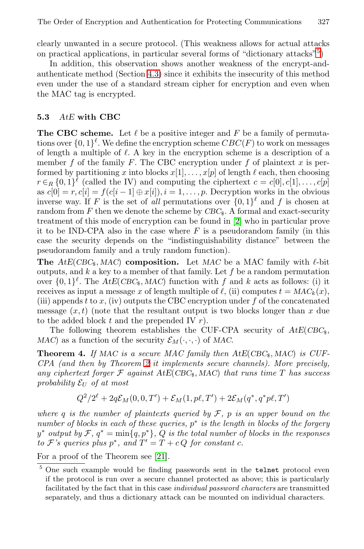<span id="page-17-0"></span>clearly unwanted in a secure protocol. (This weakness allows for actual attacks on practical applications, in particular several forms of "dictionary attacks" $5$ )

In addition, this observation shows another weakness of the encrypt-andauthenticate method (Section [4.3\)](#page-13-0) since it exhibits the insecurity of this method even under the use of a standard stream cipher for encryption and even when the MAC tag is encrypted.

#### **5.3** AtE **with CBC**

**The CBC scheme.** Let  $\ell$  be a positive integer and F be a family of permutations over  $\{0,1\}^{\ell}$ . We define the encryption scheme  $CBC(F)$  to work on messages of length a multiple of  $\ell$ . A key in the encryption scheme is a description of a member f of the family F. The CBC encryption under f of plaintext x is performed by partitioning x into blocks  $x[1], \ldots, x[p]$  of length  $\ell$  each, then choosing  $r \in_R \{0,1\}^{\ell}$  (called the IV) and computing the ciphertext  $c = c[0], c[1], \ldots, c[p]$ as  $c[0] = r, c[i] = f(c[i-1] \oplus x[i]), i = 1, \ldots, p$ . Decryption works in the obvious inverse way. If F is the set of all permutations over  $\{0,1\}^{\ell}$  and f is chosen at random from  $F$  then we denote the scheme by  $CBC<sub>s</sub>$ . A formal and exact-security treatment of this mode of encryption can be found in [\[2\]](#page-19-0) who in particular prove it to be IND-CPA also in the case where  $F$  is a pseudorandom family (in this case the security depends on the "indistinguishability distance" between the pseudorandom family and a truly random function).

**The**  $AtE(CBC<sub>s</sub>, MAC)$  **composition.** Let MAC be a MAC family with  $\ell$ -bit outputs, and  $k$  a key to a member of that family. Let  $f$  be a random permutation over  $\{0,1\}^{\ell}$ . The AtE(CBC<sub>\$</sub>, MAC) function with f and k acts as follows: (i) it receives as input a message x of length multiple of  $\ell$ , (ii) computes  $t = MAC_k(x)$ , (iii) appends t to x, (iv) outputs the CBC encryption under f of the concatenated message  $(x, t)$  (note that the resultant output is two blocks longer than x due to the added block  $t$  and the prepended IV  $r$ ).

The following theorem establishes the CUF-CPA security of  $AtE(CBC<sub>s</sub>)$ , MAC) as a function of the security  $\mathcal{E}_M(\cdot,\cdot,\cdot)$  of MAC.

**Theorem 4.** If MAC is a secure MAC family then  $\text{A}tE(\text{CBC}_s, \text{MAC})$  is CUF-CPA (and then by Theorem [2](#page-14-0) it implements secure channels). More precisely, any ciphertext forger  $\mathcal F$  against  $\mathrm{A} t \mathrm{E}(\mathrm{CBC}_\$,\mathrm{MAC})$  that runs time  $T$  has success probability  $\mathcal{E}_{U}$  of at most

$$
Q^2/2^{\ell} + 2q\mathcal{E}_M(0,0,T') + \mathcal{E}_M(1,p\ell,T') + 2\mathcal{E}_M(q^*,q^*p\ell,T')
$$

where q is the number of plaintexts queried by  $\mathcal{F}$ , p is an upper bound on the number of blocks in each of these queries,  $p^*$  is the length in blocks of the forgery  $y^*$  output by  $\mathcal{F}, q^* = \min\{q, p^*\}, Q$  is the total number of blocks in the responses to F's queries plus p<sup>\*</sup>, and  $T' = T + cQ$  for constant c.

For a proof of the Theorem see [\[21\]](#page-20-0).

<sup>&</sup>lt;sup>5</sup> One such example would be finding passwords sent in the telnet protocol even if the protocol is run over a secure channel protected as above; this is particularly facilitated by the fact that in this case individual password characters are transmitted separately, and thus a dictionary attack can be mounted on individual characters.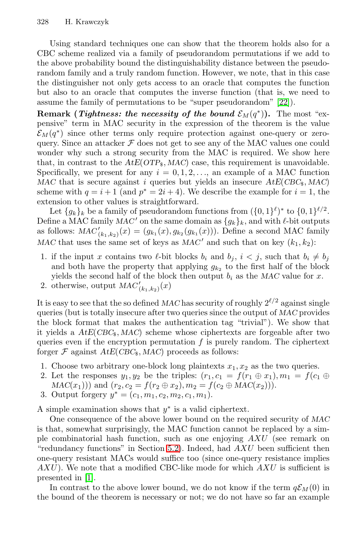Using standard techniques one can show that the theorem holds also for a CBC scheme realized via a family of pseudorandom permutations if we add to the above probability bound the distinguishability distance between the pseudorandom family and a truly random function. However, we note, that in this case the distinguisher not only gets access to an oracle that computes the function but also to an oracle that computes the inverse function (that is, we need to assume the family of permutations to be "super pseudorandom" [\[22\]](#page-20-0)).

**Remark (***Tightness: the necessity of the bound*  $\mathcal{E}_M(q^*)$ ). The most "expensive" term in MAC security in the expression of the theorem is the value  $\mathcal{E}_M(q^*)$  since other terms only require protection against one-query or zeroquery. Since an attacker  $\mathcal F$  does not get to see any of the MAC values one could wonder why such a strong security from the MAC is required. We show here that, in contrast to the  $AtE(OTP<sub>s</sub>, MAC)$  case, this requirement is unavoidable. Specifically, we present for any  $i = 0, 1, 2, \ldots$ , an example of a MAC function MAC that is secure against i queries but yields an insecure  $AtE(CBC_8, MAC)$ scheme with  $q = i + 1$  (and  $p^* = 2i + 4$ ). We describe the example for  $i = 1$ , the extension to other values is straightforward.

Let  ${g_k}_k$  be a family of pseudorandom functions from  $({0, 1}\ell)^*$  to  ${0, 1}\ell^{22}$ . Define a MAC family  $MAC'$  on the same domain as  ${g_k}_k$ , and with  $\ell$ -bit outputs as follows:  $MAC'_{(k_1,k_2)}(x) = (g_{k_1}(x), g_{k_2}(g_{k_1}(x)))$ . Define a second MAC family MAC that uses the same set of keys as MAC' and such that on key  $(k_1, k_2)$ :

- 1. if the input x contains two  $\ell$ -bit blocks  $b_i$  and  $b_j$ ,  $i < j$ , such that  $b_i \neq b_j$ and both have the property that applying  $g_{k_2}$  to the first half of the block yields the second half of the block then output  $b_i$  as the MAC value for x.
- 2. otherwise, output  $MAC'_{(k_1,k_2)}(x)$

It is easy to see that the so defined  $MAC$  has security of roughly  $2^{\ell/2}$  against single queries (but is totally insecure after two queries since the output of MAC provides the block format that makes the authentication tag "trivial"). We show that it yields a  $AtE(CBC<sub>s</sub>, MAC)$  scheme whose ciphertexts are forgeable after two queries even if the encryption permutation  $f$  is purely random. The ciphertext forger  $\mathcal F$  against  $AtE(CBC_{\$}, MAC)$  proceeds as follows:

- 1. Choose two arbitrary one-block long plaintexts  $x_1, x_2$  as the two queries.
- 2. Let the responses  $y_1, y_2$  be the triples:  $(r_1, c_1 = f(r_1 \oplus x_1), m_1 = f(c_1 \oplus x_2))$  $MAC(x_1))$  and  $(r_2, c_2 = f(r_2 \oplus x_2), m_2 = f(c_2 \oplus MAC(x_2))).$
- 3. Output forgery  $y^* = (c_1, m_1, c_2, m_2, c_1, m_1)$ .

A simple examination shows that  $y^*$  is a valid ciphertext.

One consequence of the above lower bound on the required security of MAC is that, somewhat surprisingly, the MAC function cannot be replaced by a simple combinatorial hash function, such as one enjoying AXU (see remark on "redundancy functions" in Section [5.2\)](#page-14-0). Indeed, had  $AXU$  been sufficient then one-query resistant MACs would suffice too (since one-query resistance implies  $AXU$ ). We note that a modified CBC-like mode for which  $AXU$  is sufficient is presented in [\[1\]](#page-19-0).

In contrast to the above lower bound, we do not know if the term  $q\mathcal{E}_M(0)$  in the bound of the theorem is necessary or not; we do not have so far an example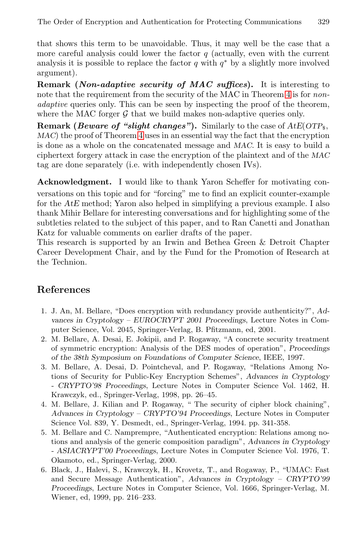<span id="page-19-0"></span>that shows this term to be unavoidable. Thus, it may well be the case that a more careful analysis could lower the factor  $q$  (actually, even with the current analysis it is possible to replace the factor q with  $q^*$  by a slightly more involved argument).

**Remark (***Non-adaptive security of MAC suffices***).** It is interesting to note that the requirement from the security of the MAC in Theorem [4](#page-17-0) is for *non*adaptive queries only. This can be seen by inspecting the proof of the theorem, where the MAC forger  $G$  that we build makes non-adaptive queries only.

**Remark (***Beware of "slight changes"***).** Similarly to the case of  $AtE(OTP<sub>s</sub>)$ , MAC) the proof of Theorem [4](#page-17-0) uses in an essential way the fact that the encryption is done as a whole on the concatenated message and MAC. It is easy to build a ciphertext forgery attack in case the encryption of the plaintext and of the MAC tag are done separately (i.e. with independently chosen IVs).

**Acknowledgment.** I would like to thank Yaron Scheffer for motivating conversations on this topic and for "forcing" me to find an explicit counter-example for the AtE method; Yaron also helped in simplifying a previous example. I also thank Mihir Bellare for interesting conversations and for highlighting some of the subtleties related to the subject of this paper, and to Ran Canetti and Jonathan Katz for valuable comments on earlier drafts of the paper.

This research is supported by an Irwin and Bethea Green & Detroit Chapter Career Development Chair, and by the Fund for the Promotion of Research at the Technion.

# **References**

- 1. J. An, M. Bellare, "Does encryption with redundancy provide authenticity?", Advances in Cryptology – EUROCRYPT 2001 Proceedings, Lecture Notes in Computer Science, Vol. 2045, Springer-Verlag, B. Pfitzmann, ed, 2001.
- 2. M. Bellare, A. Desai, E. Jokipii, and P. Rogaway, "A concrete security treatment of symmetric encryption: Analysis of the DES modes of operation", Proceedings of the 38th Symposium on Foundations of Computer Science, IEEE, 1997.
- 3. M. Bellare, A. Desai, D. Pointcheval, and P. Rogaway, "Relations Among Notions of Security for Public-Key Encryption Schemes", Advances in Cryptology - CRYPTO'98 Proceedings, Lecture Notes in Computer Science Vol. 1462, H. Krawczyk, ed., Springer-Verlag, 1998, pp. 26–45.
- 4. M. Bellare, J. Kilian and P. Rogaway, " The security of cipher block chaining", Advances in Cryptology – CRYPTO'94 Proceedings, Lecture Notes in Computer Science Vol. 839, Y. Desmedt, ed., Springer-Verlag, 1994. pp. 341-358.
- 5. M. Bellare and C. Namprempre, "Authenticated encryption: Relations among notions and analysis of the generic composition paradigm", Advances in Cryptology - ASIACRYPT'00 Proceedings, Lecture Notes in Computer Science Vol. 1976, T. Okamoto, ed., Springer-Verlag, 2000.
- 6. Black, J., Halevi, S., Krawczyk, H., Krovetz, T., and Rogaway, P., "UMAC: Fast and Secure Message Authentication", Advances in Cryptology – CRYPTO'99 Proceedings, Lecture Notes in Computer Science, Vol. 1666, Springer-Verlag, M. Wiener, ed, 1999, pp. 216–233.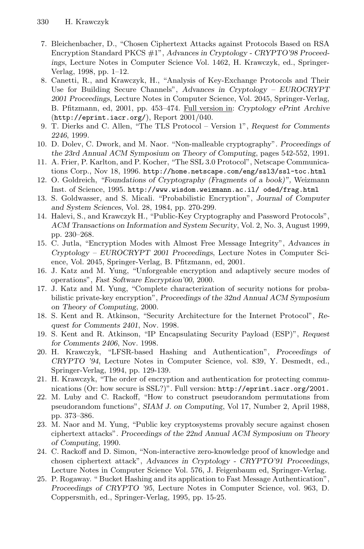- <span id="page-20-0"></span>7. Bleichenbacher, D., "Chosen Ciphertext Attacks against Protocols Based on RSA Encryption Standard PKCS #1", Advances in Cryptology - CRYPTO'98 Proceedings, Lecture Notes in Computer Science Vol. 1462, H. Krawczyk, ed., Springer-Verlag, 1998, pp. 1–12.
- 8. Canetti, R., and Krawczyk, H., "Analysis of Key-Exchange Protocols and Their Use for Building Secure Channels", Advances in Cryptology – EUROCRYPT 2001 Proceedings, Lecture Notes in Computer Science, Vol. 2045, Springer-Verlag, B. Pfitzmann, ed, 2001, pp. 453–474. Full version in: Cryptology ePrint Archive (http://eprint.iacr.org/), Report 2001/040.
- 9. T. Dierks and C. Allen, "The TLS Protocol Version 1", Request for Comments 2246, 1999.
- 10. D. Dolev, C. Dwork, and M. Naor. "Non-malleable cryptography". Proceedings of the 23rd Annual ACM Symposium on Theory of Computing, pages 542-552, 1991.
- 11. A. Frier, P. Karlton, and P. Kocher, "The SSL 3.0 Protocol", Netscape Communications Corp., Nov 18, 1996. http://home.netscape.com/eng/ssl3/ssl-toc.html
- 12. O. Goldreich, "Foundations of Cryptography (Fragments of a book)", Weizmann Inst. of Science, 1995. http://www.wisdom.weizmann.ac.il/ oded/frag.html
- 13. S. Goldwasser, and S. Micali. "Probabilistic Encryption", Journal of Computer and System Sciences, Vol. 28, 1984, pp. 270-299.
- 14. Halevi, S., and Krawczyk H., "Public-Key Cryptography and Password Protocols", ACM Transactions on Information and System Security, Vol. 2, No. 3, August 1999, pp. 230–268.
- 15. C. Jutla, "Encryption Modes with Almost Free Message Integrity", Advances in Cryptology – EUROCRYPT 2001 Proceedings, Lecture Notes in Computer Science, Vol. 2045, Springer-Verlag, B. Pfitzmann, ed, 2001.
- 16. J. Katz and M. Yung, "Unforgeable encryption and adaptively secure modes of operations", Fast Software Encryption'00, 2000.
- 17. J. Katz and M. Yung, "Complete characterization of security notions for probabilistic private-key encryption", Proceedings of the 32nd Annual ACM Symposium on Theory of Computing, 2000.
- 18. S. Kent and R. Atkinson, "Security Architecture for the Internet Protocol", Request for Comments 2401, Nov. 1998.
- 19. S. Kent and R. Atkinson, "IP Encapsulating Security Payload (ESP)", Request for Comments 2406, Nov. 1998.
- 20. H. Krawczyk, "LFSR-based Hashing and Authentication", Proceedings of CRYPTO '94, Lecture Notes in Computer Science, vol. 839, Y. Desmedt, ed., Springer-Verlag, 1994, pp. 129-139.
- 21. H. Krawczyk, "The order of encryption and authentication for protecting communications (Or: how secure is SSL?)". Full version: http://eprint.iacr.org/2001.
- 22. M. Luby and C. Rackoff, "How to construct pseudorandom permutations from pseudorandom functions", SIAM J. on Computing, Vol 17, Number 2, April 1988, pp. 373–386.
- 23. M. Naor and M. Yung, "Public key cryptosystems provably secure against chosen ciphertext attacks". Proceedings of the 22nd Annual ACM Symposium on Theory of Computing, 1990.
- 24. C. Rackoff and D. Simon, "Non-interactive zero-knowledge proof of knowledge and chosen ciphertext attack", Advances in Cryptology - CRYPTO'91 Proceedings, Lecture Notes in Computer Science Vol. 576, J. Feigenbaum ed, Springer-Verlag.
- 25. P. Rogaway. " Bucket Hashing and its application to Fast Message Authentication", Proceedings of CRYPTO '95, Lecture Notes in Computer Science, vol. 963, D. Coppersmith, ed., Springer-Verlag, 1995, pp. 15-25.